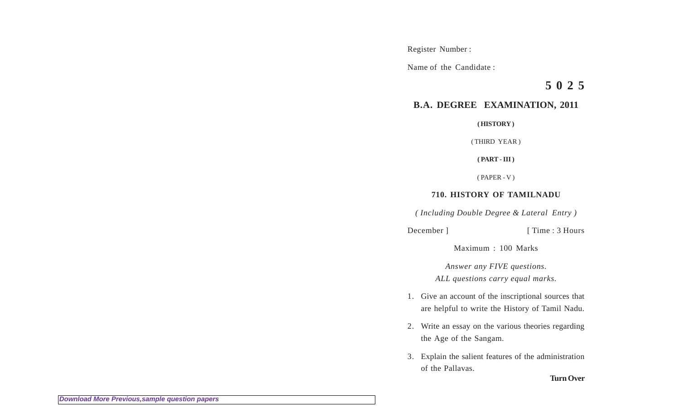Register Number :

Name of the Candidate :

**5 0 2 5**

## **B.A. DEGREE EXAMINATION, 2011**

**( HISTORY )**

( THIRD YEAR )

**( PART - III )**

( PAPER - V )

## **710. HISTORY OF TAMILNADU**

*( Including Double Degree & Lateral Entry )*

December ] [ Time : 3 Hours

Maximum : 100 Marks

*Answer any FIVE questions. ALL questions carry equal marks.*

- 1. Give an account of the inscriptional sources that are helpful to write the History of Tamil Nadu.
- 2. Write an essay on the various theories regarding the Age of the Sangam.
- 3. Explain the salient features of the administration of the Pallavas.

**Turn Over**